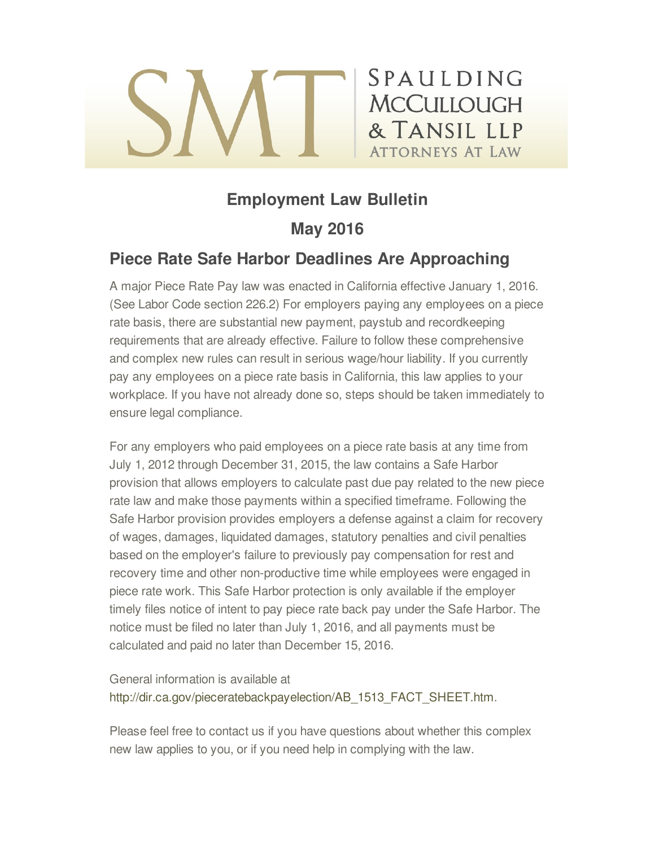# **Employment Law Bulletin**

SPAULDING

**MCCULLOUGH** 

& TANSIL LLP

**ATTORNEYS AT LAW** 

## **May 2016**

## **Piece Rate Safe Harbor Deadlines Are Approaching**

A major Piece Rate Pay law was enacted in California effective January 1, 2016. (See Labor Code section 226.2) For employers paying any employees on a piece rate basis, there are substantial new payment, paystub and recordkeeping requirements that are already effective. Failure to follow these comprehensive and complex new rules can result in serious wage/hour liability. If you currently pay any employees on a piece rate basis in California, this law applies to your workplace. If you have not already done so, steps should be taken immediately to ensure legal compliance.

For any employers who paid employees on a piece rate basis at any time from July 1, 2012 through December 31, 2015, the law contains a Safe Harbor provision that allows employers to calculate past due pay related to the new piece rate law and make those payments within a specified timeframe. Following the Safe Harbor provision provides employers a defense against a claim for recovery of wages, damages, liquidated damages, statutory penalties and civil penalties based on the employer's failure to previously pay compensation for rest and recovery time and other non-productive time while employees were engaged in piece rate work. This Safe Harbor protection is only available if the employer timely files notice of intent to pay piece rate back pay under the Safe Harbor. The notice must be filed no later than July 1, 2016, and all payments must be calculated and paid no later than December 15, 2016.

General information is available at [http://dir.ca.gov/pieceratebackpayelection/AB\\_1513\\_FACT\\_SHEET.htm](http://dir.ca.gov/pieceratebackpayelection/AB_1513_FACT_SHEET.htm).

Please feel free to contact us if you have questions about whether this complex new law applies to you, or if you need help in complying with the law.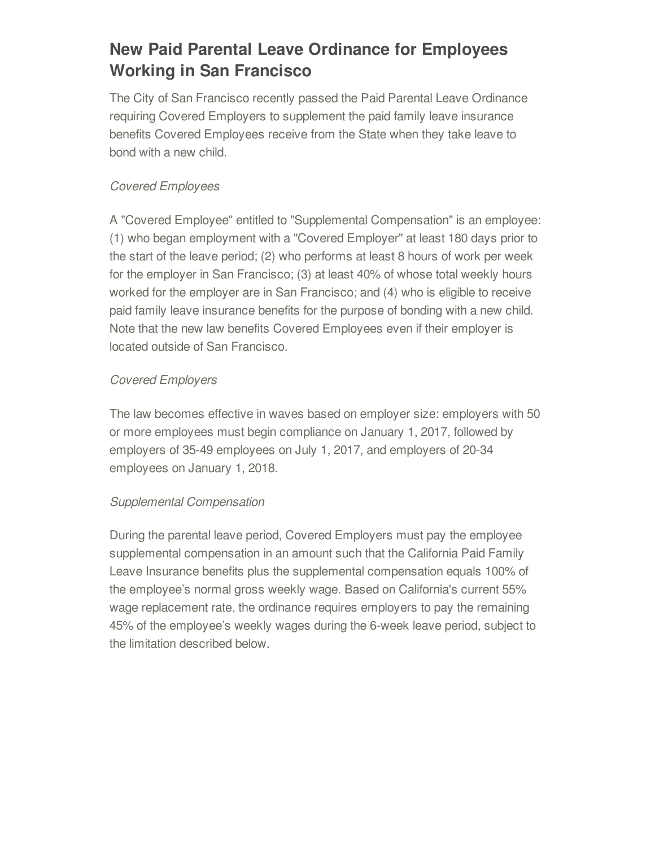# **New Paid Parental Leave Ordinance for Employees Working in San Francisco**

The City of San Francisco recently passed the Paid Parental Leave Ordinance requiring Covered Employers to supplement the paid family leave insurance benefits Covered Employees receive from the State when they take leave to bond with a new child.

## *Covered Employees*

A "Covered Employee" entitled to "Supplemental Compensation" is an employee: (1) who began employment with a "Covered Employer" at least 180 days prior to the start of the leave period; (2) who performs at least 8 hours of work per week for the employer in San Francisco; (3) at least 40% of whose total weekly hours worked for the employer are in San Francisco; and (4) who is eligible to receive paid family leave insurance benefits for the purpose of bonding with a new child. Note that the new law benefits Covered Employees even if their employer is located outside of San Francisco.

### *Covered Employers*

The law becomes effective in waves based on employer size: employers with 50 or more employees must begin compliance on January 1, 2017, followed by employers of 35-49 employees on July 1, 2017, and employers of 20-34 employees on January 1, 2018.

### *Supplemental Compensation*

During the parental leave period, Covered Employers must pay the employee supplemental compensation in an amount such that the California Paid Family Leave Insurance benefits plus the supplemental compensation equals 100% of the employee's normal gross weekly wage. Based on California's current 55% wage replacement rate, the ordinance requires employers to pay the remaining 45% of the employee's weekly wages during the 6-week leave period, subject to the limitation described below.